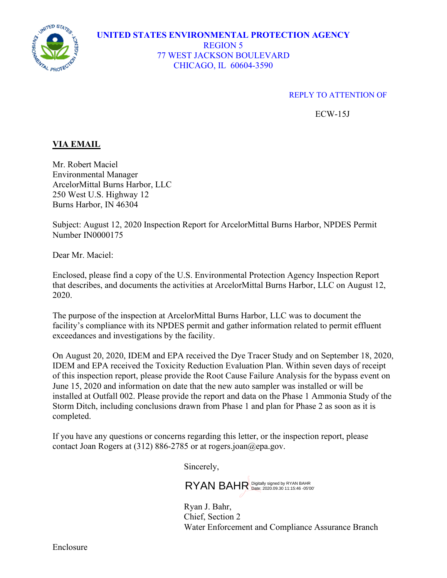

## **UNITED STATES ENVIRONMENTAL PROTECTION AGENCY** REGION 5 77 WEST JACKSON BOULEVARD CHICAGO, IL 60604-3590

## REPLY TO ATTENTION OF

ECW-15J

## **VIA EMAIL**

Mr. Robert Maciel Environmental Manager ArcelorMittal Burns Harbor, LLC 250 West U.S. Highway 12 Burns Harbor, IN 46304

Subject: August 12, 2020 Inspection Report for ArcelorMittal Burns Harbor, NPDES Permit Number IN0000175

Dear Mr. Maciel:

Enclosed, please find a copy of the U.S. Environmental Protection Agency Inspection Report that describes, and documents the activities at ArcelorMittal Burns Harbor, LLC on August 12, 2020.

The purpose of the inspection at ArcelorMittal Burns Harbor, LLC was to document the facility's compliance with its NPDES permit and gather information related to permit effluent exceedances and investigations by the facility.

On August 20, 2020, IDEM and EPA received the Dye Tracer Study and on September 18, 2020, IDEM and EPA received the Toxicity Reduction Evaluation Plan. Within seven days of receipt of this inspection report, please provide the Root Cause Failure Analysis for the bypass event on June 15, 2020 and information on date that the new auto sampler was installed or will be installed at Outfall 002. Please provide the report and data on the Phase 1 Ammonia Study of the Storm Ditch, including conclusions drawn from Phase 1 and plan for Phase 2 as soon as it is completed.

If you have any questions or concerns regarding this letter, or the inspection report, please contact Joan Rogers at  $(312) 886-2785$  or at rogers.joan@epa.gov.

Sincerely,

RYAN BAHR Digitally signed by RYAN BAHR

Ryan J. Bahr, Chief, Section 2 Water Enforcement and Compliance Assurance Branch